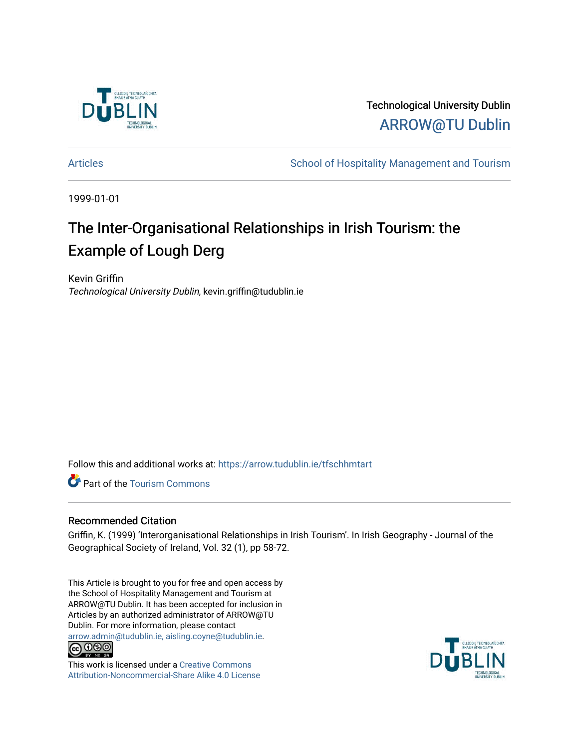

Technological University Dublin [ARROW@TU Dublin](https://arrow.tudublin.ie/) 

[Articles](https://arrow.tudublin.ie/tfschhmtart) **School of Hospitality Management and Tourism** 

1999-01-01

# The Inter-Organisational Relationships in Irish Tourism: the Example of Lough Derg

Kevin Griffin Technological University Dublin, kevin.griffin@tudublin.ie

Follow this and additional works at: [https://arrow.tudublin.ie/tfschhmtart](https://arrow.tudublin.ie/tfschhmtart?utm_source=arrow.tudublin.ie%2Ftfschhmtart%2F45&utm_medium=PDF&utm_campaign=PDFCoverPages) 

Part of the [Tourism Commons](http://network.bepress.com/hgg/discipline/1022?utm_source=arrow.tudublin.ie%2Ftfschhmtart%2F45&utm_medium=PDF&utm_campaign=PDFCoverPages)

## Recommended Citation

Griffin, K. (1999) 'Interorganisational Relationships in Irish Tourism'. In Irish Geography - Journal of the Geographical Society of Ireland, Vol. 32 (1), pp 58-72.

This Article is brought to you for free and open access by the School of Hospitality Management and Tourism at ARROW@TU Dublin. It has been accepted for inclusion in Articles by an authorized administrator of ARROW@TU Dublin. For more information, please contact [arrow.admin@tudublin.ie, aisling.coyne@tudublin.ie](mailto:arrow.admin@tudublin.ie,%20aisling.coyne@tudublin.ie).<br>
co 060



This work is licensed under a [Creative Commons](http://creativecommons.org/licenses/by-nc-sa/4.0/) [Attribution-Noncommercial-Share Alike 4.0 License](http://creativecommons.org/licenses/by-nc-sa/4.0/)

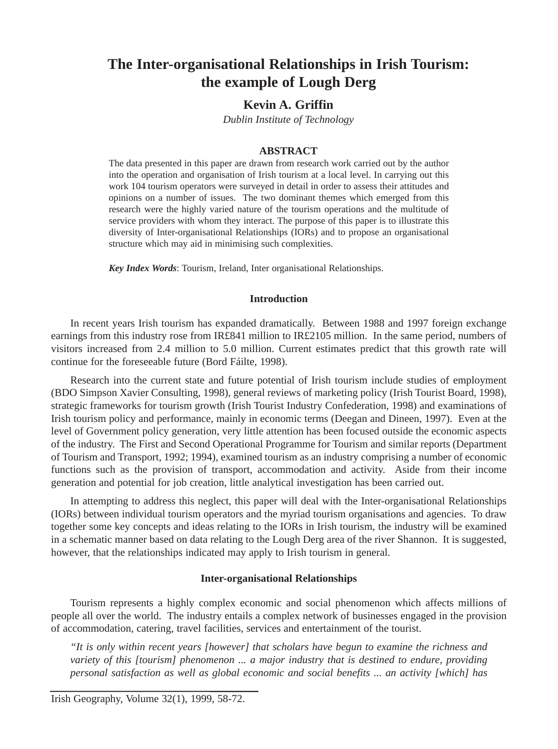# **The Inter-organisational Relationships in Irish Tourism: the example of Lough Derg**

### **Kevin A. Griffin**

*Dublin Institute of Technology*

#### **ABSTRACT**

The data presented in this paper are drawn from research work carried out by the author into the operation and organisation of Irish tourism at a local level. In carrying out this work 104 tourism operators were surveyed in detail in order to assess their attitudes and opinions on a number of issues. The two dominant themes which emerged from this research were the highly varied nature of the tourism operations and the multitude of service providers with whom they interact. The purpose of this paper is to illustrate this diversity of Inter-organisational Relationships (IORs) and to propose an organisational structure which may aid in minimising such complexities.

*Key Index Words*: Tourism, Ireland, Inter organisational Relationships.

#### **Introduction**

In recent years Irish tourism has expanded dramatically. Between 1988 and 1997 foreign exchange earnings from this industry rose from IR£841 million to IR£2105 million. In the same period, numbers of visitors increased from 2.4 million to 5.0 million. Current estimates predict that this growth rate will continue for the foreseeable future (Bord Fáilte, 1998).

Research into the current state and future potential of Irish tourism include studies of employment (BDO Simpson Xavier Consulting, 1998), general reviews of marketing policy (Irish Tourist Board, 1998), strategic frameworks for tourism growth (Irish Tourist Industry Confederation, 1998) and examinations of Irish tourism policy and performance, mainly in economic terms (Deegan and Dineen, 1997). Even at the level of Government policy generation, very little attention has been focused outside the economic aspects of the industry. The First and Second Operational Programme for Tourism and similar reports (Department of Tourism and Transport, 1992; 1994), examined tourism as an industry comprising a number of economic functions such as the provision of transport, accommodation and activity. Aside from their income generation and potential for job creation, little analytical investigation has been carried out.

In attempting to address this neglect, this paper will deal with the Inter-organisational Relationships (IORs) between individual tourism operators and the myriad tourism organisations and agencies. To draw together some key concepts and ideas relating to the IORs in Irish tourism, the industry will be examined in a schematic manner based on data relating to the Lough Derg area of the river Shannon. It is suggested, however, that the relationships indicated may apply to Irish tourism in general.

#### **Inter-organisational Relationships**

Tourism represents a highly complex economic and social phenomenon which affects millions of people all over the world. The industry entails a complex network of businesses engaged in the provision of accommodation, catering, travel facilities, services and entertainment of the tourist.

*"It is only within recent years [however] that scholars have begun to examine the richness and variety of this [tourism] phenomenon ... a major industry that is destined to endure, providing personal satisfaction as well as global economic and social benefits ... an activity [which] has*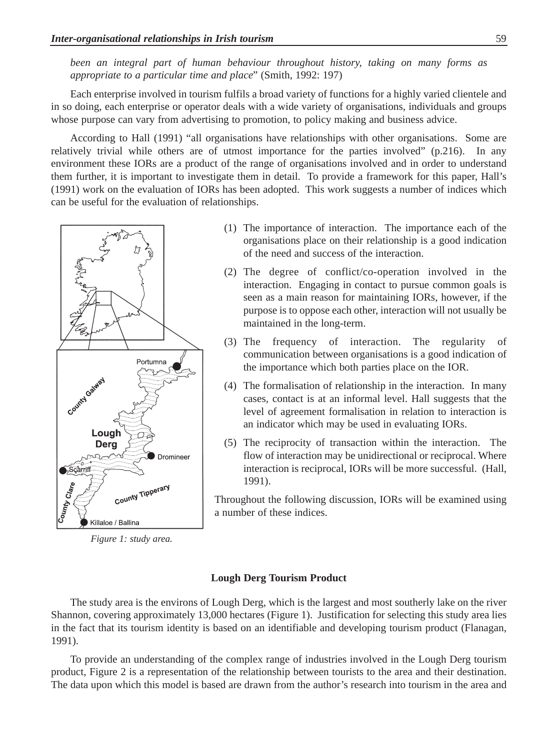*been an integral part of human behaviour throughout history, taking on many forms as appropriate to a particular time and place*" (Smith, 1992: 197)

Each enterprise involved in tourism fulfils a broad variety of functions for a highly varied clientele and in so doing, each enterprise or operator deals with a wide variety of organisations, individuals and groups whose purpose can vary from advertising to promotion, to policy making and business advice.

According to Hall (1991) "all organisations have relationships with other organisations. Some are relatively trivial while others are of utmost importance for the parties involved" (p.216). In any environment these IORs are a product of the range of organisations involved and in order to understand them further, it is important to investigate them in detail. To provide a framework for this paper, Hall's (1991) work on the evaluation of IORs has been adopted. This work suggests a number of indices which can be useful for the evaluation of relationships.



*Figure 1: study area.*

- (1) The importance of interaction. The importance each of the organisations place on their relationship is a good indication of the need and success of the interaction.
- (2) The degree of conflict/co-operation involved in the interaction. Engaging in contact to pursue common goals is seen as a main reason for maintaining IORs, however, if the purpose is to oppose each other, interaction will not usually be maintained in the long-term.
- (3) The frequency of interaction. The regularity of communication between organisations is a good indication of the importance which both parties place on the IOR.
- (4) The formalisation of relationship in the interaction. In many cases, contact is at an informal level. Hall suggests that the level of agreement formalisation in relation to interaction is an indicator which may be used in evaluating IORs.
- (5) The reciprocity of transaction within the interaction. The flow of interaction may be unidirectional or reciprocal. Where interaction is reciprocal, IORs will be more successful. (Hall, 1991).

Throughout the following discussion, IORs will be examined using a number of these indices.

#### **Lough Derg Tourism Product**

The study area is the environs of Lough Derg, which is the largest and most southerly lake on the river Shannon, covering approximately 13,000 hectares (Figure 1). Justification for selecting this study area lies in the fact that its tourism identity is based on an identifiable and developing tourism product (Flanagan, 1991).

To provide an understanding of the complex range of industries involved in the Lough Derg tourism product, Figure 2 is a representation of the relationship between tourists to the area and their destination. The data upon which this model is based are drawn from the author's research into tourism in the area and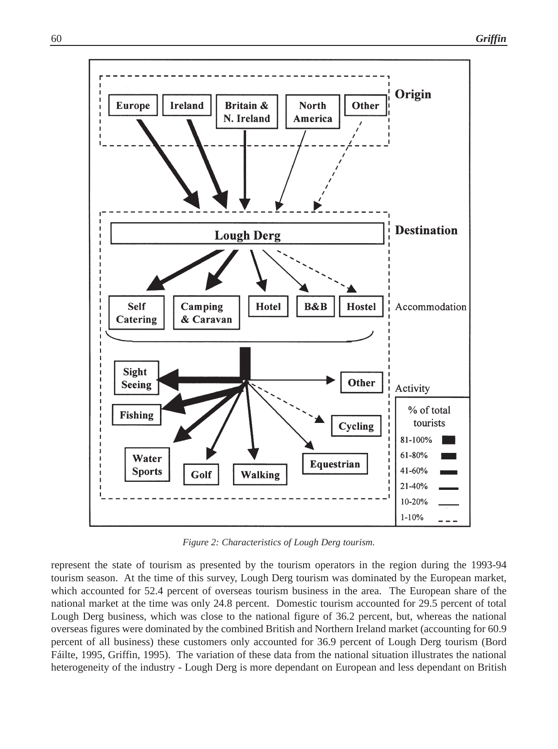

*Figure 2: Characteristics of Lough Derg tourism.*

represent the state of tourism as presented by the tourism operators in the region during the 1993-94 tourism season. At the time of this survey, Lough Derg tourism was dominated by the European market, which accounted for 52.4 percent of overseas tourism business in the area. The European share of the national market at the time was only 24.8 percent. Domestic tourism accounted for 29.5 percent of total Lough Derg business, which was close to the national figure of 36.2 percent, but, whereas the national overseas figures were dominated by the combined British and Northern Ireland market (accounting for 60.9 percent of all business) these customers only accounted for 36.9 percent of Lough Derg tourism (Bord Fáilte, 1995, Griffin, 1995). The variation of these data from the national situation illustrates the national heterogeneity of the industry - Lough Derg is more dependant on European and less dependant on British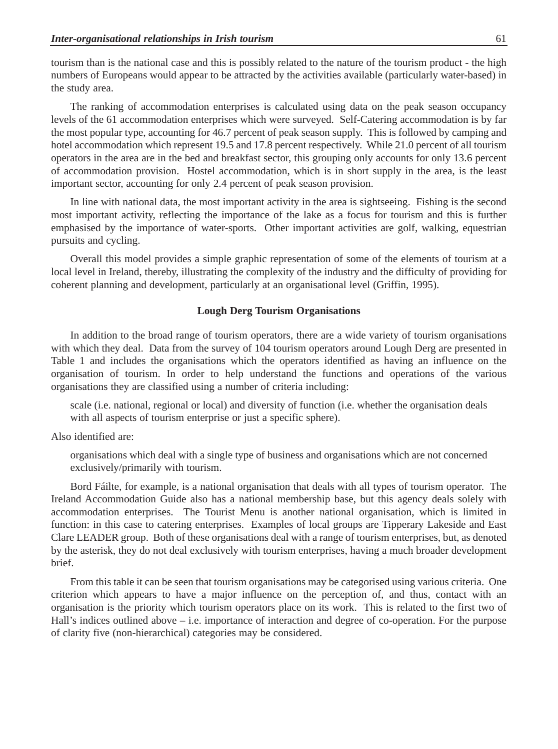tourism than is the national case and this is possibly related to the nature of the tourism product - the high numbers of Europeans would appear to be attracted by the activities available (particularly water-based) in the study area.

The ranking of accommodation enterprises is calculated using data on the peak season occupancy levels of the 61 accommodation enterprises which were surveyed. Self-Catering accommodation is by far the most popular type, accounting for 46.7 percent of peak season supply. This is followed by camping and hotel accommodation which represent 19.5 and 17.8 percent respectively. While 21.0 percent of all tourism operators in the area are in the bed and breakfast sector, this grouping only accounts for only 13.6 percent of accommodation provision. Hostel accommodation, which is in short supply in the area, is the least important sector, accounting for only 2.4 percent of peak season provision.

In line with national data, the most important activity in the area is sightseeing. Fishing is the second most important activity, reflecting the importance of the lake as a focus for tourism and this is further emphasised by the importance of water-sports. Other important activities are golf, walking, equestrian pursuits and cycling.

Overall this model provides a simple graphic representation of some of the elements of tourism at a local level in Ireland, thereby, illustrating the complexity of the industry and the difficulty of providing for coherent planning and development, particularly at an organisational level (Griffin, 1995).

#### **Lough Derg Tourism Organisations**

In addition to the broad range of tourism operators, there are a wide variety of tourism organisations with which they deal. Data from the survey of 104 tourism operators around Lough Derg are presented in Table 1 and includes the organisations which the operators identified as having an influence on the organisation of tourism. In order to help understand the functions and operations of the various organisations they are classified using a number of criteria including:

scale (i.e. national, regional or local) and diversity of function (i.e. whether the organisation deals with all aspects of tourism enterprise or just a specific sphere).

#### Also identified are:

organisations which deal with a single type of business and organisations which are not concerned exclusively/primarily with tourism.

Bord Fáilte, for example, is a national organisation that deals with all types of tourism operator. The Ireland Accommodation Guide also has a national membership base, but this agency deals solely with accommodation enterprises. The Tourist Menu is another national organisation, which is limited in function: in this case to catering enterprises. Examples of local groups are Tipperary Lakeside and East Clare LEADER group. Both of these organisations deal with a range of tourism enterprises, but, as denoted by the asterisk, they do not deal exclusively with tourism enterprises, having a much broader development brief.

From this table it can be seen that tourism organisations may be categorised using various criteria. One criterion which appears to have a major influence on the perception of, and thus, contact with an organisation is the priority which tourism operators place on its work. This is related to the first two of Hall's indices outlined above – i.e. importance of interaction and degree of co-operation. For the purpose of clarity five (non-hierarchical) categories may be considered.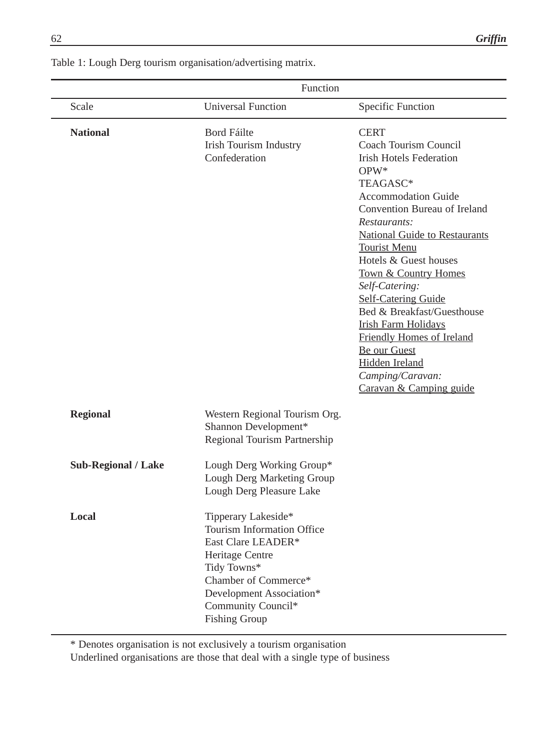| Function            |                                                                                                                                                                                                             |                                                                                                                                                                                                                                                                                                                                                                                                                                                                                                                      |
|---------------------|-------------------------------------------------------------------------------------------------------------------------------------------------------------------------------------------------------------|----------------------------------------------------------------------------------------------------------------------------------------------------------------------------------------------------------------------------------------------------------------------------------------------------------------------------------------------------------------------------------------------------------------------------------------------------------------------------------------------------------------------|
| Scale               | <b>Universal Function</b>                                                                                                                                                                                   | Specific Function                                                                                                                                                                                                                                                                                                                                                                                                                                                                                                    |
| <b>National</b>     | Bord Fáilte<br><b>Irish Tourism Industry</b><br>Confederation                                                                                                                                               | <b>CERT</b><br>Coach Tourism Council<br><b>Irish Hotels Federation</b><br>$OPW*$<br>TEAGASC*<br><b>Accommodation Guide</b><br>Convention Bureau of Ireland<br>Restaurants:<br><b>National Guide to Restaurants</b><br><b>Tourist Menu</b><br>Hotels & Guest houses<br>Town & Country Homes<br>Self-Catering:<br><b>Self-Catering Guide</b><br>Bed & Breakfast/Guesthouse<br><b>Irish Farm Holidays</b><br>Friendly Homes of Ireland<br>Be our Guest<br>Hidden Ireland<br>Camping/Caravan:<br>Caravan & Camping guide |
| <b>Regional</b>     | Western Regional Tourism Org.<br>Shannon Development*<br>Regional Tourism Partnership                                                                                                                       |                                                                                                                                                                                                                                                                                                                                                                                                                                                                                                                      |
| Sub-Regional / Lake | Lough Derg Working Group*<br>Lough Derg Marketing Group<br>Lough Derg Pleasure Lake                                                                                                                         |                                                                                                                                                                                                                                                                                                                                                                                                                                                                                                                      |
| Local               | Tipperary Lakeside*<br>Tourism Information Office<br>East Clare LEADER*<br>Heritage Centre<br>Tidy Towns*<br>Chamber of Commerce*<br>Development Association*<br>Community Council*<br><b>Fishing Group</b> |                                                                                                                                                                                                                                                                                                                                                                                                                                                                                                                      |

Table 1: Lough Derg tourism organisation/advertising matrix.

\* Denotes organisation is not exclusively a tourism organisation

Underlined organisations are those that deal with a single type of business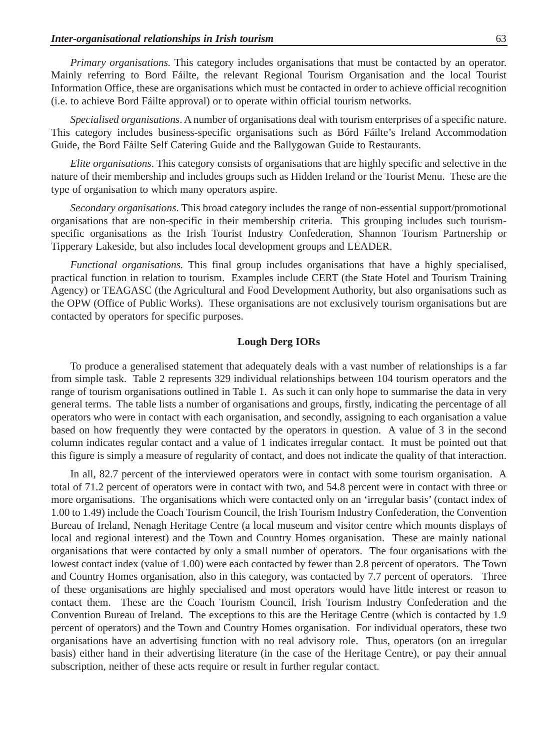*Primary organisations.* This category includes organisations that must be contacted by an operator. Mainly referring to Bord Fáilte, the relevant Regional Tourism Organisation and the local Tourist Information Office, these are organisations which must be contacted in order to achieve official recognition (i.e. to achieve Bord Fáilte approval) or to operate within official tourism networks.

*Specialised organisations*. A number of organisations deal with tourism enterprises of a specific nature. This category includes business-specific organisations such as Bórd Fáilte's Ireland Accommodation Guide, the Bord Fáilte Self Catering Guide and the Ballygowan Guide to Restaurants.

*Elite organisations*. This category consists of organisations that are highly specific and selective in the nature of their membership and includes groups such as Hidden Ireland or the Tourist Menu. These are the type of organisation to which many operators aspire.

*Secondary organisations*. This broad category includes the range of non-essential support/promotional organisations that are non-specific in their membership criteria. This grouping includes such tourismspecific organisations as the Irish Tourist Industry Confederation, Shannon Tourism Partnership or Tipperary Lakeside, but also includes local development groups and LEADER.

*Functional organisations.* This final group includes organisations that have a highly specialised, practical function in relation to tourism. Examples include CERT (the State Hotel and Tourism Training Agency) or TEAGASC (the Agricultural and Food Development Authority, but also organisations such as the OPW (Office of Public Works). These organisations are not exclusively tourism organisations but are contacted by operators for specific purposes.

#### **Lough Derg IORs**

To produce a generalised statement that adequately deals with a vast number of relationships is a far from simple task. Table 2 represents 329 individual relationships between 104 tourism operators and the range of tourism organisations outlined in Table 1. As such it can only hope to summarise the data in very general terms. The table lists a number of organisations and groups, firstly, indicating the percentage of all operators who were in contact with each organisation, and secondly, assigning to each organisation a value based on how frequently they were contacted by the operators in question. A value of 3 in the second column indicates regular contact and a value of 1 indicates irregular contact. It must be pointed out that this figure is simply a measure of regularity of contact, and does not indicate the quality of that interaction.

In all, 82.7 percent of the interviewed operators were in contact with some tourism organisation. A total of 71.2 percent of operators were in contact with two, and 54.8 percent were in contact with three or more organisations. The organisations which were contacted only on an 'irregular basis' (contact index of 1.00 to 1.49) include the Coach Tourism Council, the Irish Tourism Industry Confederation, the Convention Bureau of Ireland, Nenagh Heritage Centre (a local museum and visitor centre which mounts displays of local and regional interest) and the Town and Country Homes organisation. These are mainly national organisations that were contacted by only a small number of operators. The four organisations with the lowest contact index (value of 1.00) were each contacted by fewer than 2.8 percent of operators. The Town and Country Homes organisation, also in this category, was contacted by 7.7 percent of operators. Three of these organisations are highly specialised and most operators would have little interest or reason to contact them. These are the Coach Tourism Council, Irish Tourism Industry Confederation and the Convention Bureau of Ireland. The exceptions to this are the Heritage Centre (which is contacted by 1.9 percent of operators) and the Town and Country Homes organisation. For individual operators, these two organisations have an advertising function with no real advisory role. Thus, operators (on an irregular basis) either hand in their advertising literature (in the case of the Heritage Centre), or pay their annual subscription, neither of these acts require or result in further regular contact.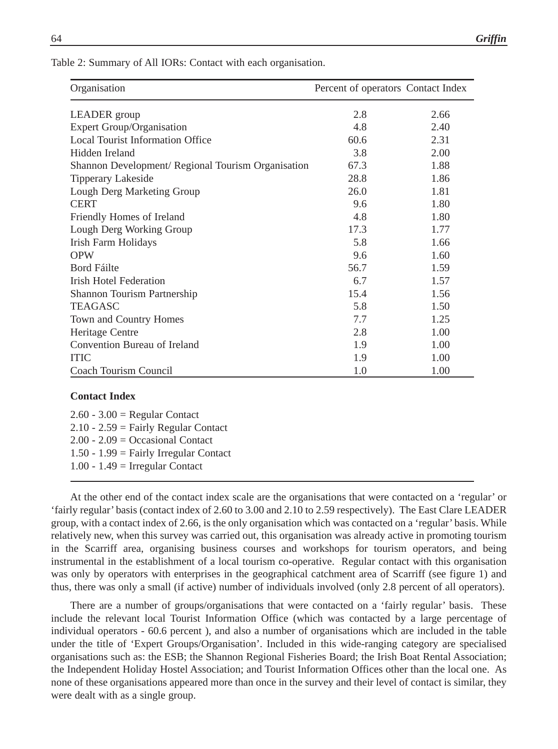Table 2: Summary of All IORs: Contact with each organisation.

| Organisation                                       | Percent of operators Contact Index |      |
|----------------------------------------------------|------------------------------------|------|
| <b>LEADER</b> group                                | 2.8                                | 2.66 |
| <b>Expert Group/Organisation</b>                   | 4.8                                | 2.40 |
| <b>Local Tourist Information Office</b>            | 60.6                               | 2.31 |
| Hidden Ireland                                     | 3.8                                | 2.00 |
| Shannon Development/ Regional Tourism Organisation | 67.3                               | 1.88 |
| Tipperary Lakeside                                 | 28.8                               | 1.86 |
| Lough Derg Marketing Group                         | 26.0                               | 1.81 |
| <b>CERT</b>                                        | 9.6                                | 1.80 |
| Friendly Homes of Ireland                          | 4.8                                | 1.80 |
| Lough Derg Working Group                           | 17.3                               | 1.77 |
| Irish Farm Holidays                                | 5.8                                | 1.66 |
| <b>OPW</b>                                         | 9.6                                | 1.60 |
| Bord Fáilte                                        | 56.7                               | 1.59 |
| <b>Irish Hotel Federation</b>                      | 6.7                                | 1.57 |
| Shannon Tourism Partnership                        | 15.4                               | 1.56 |
| <b>TEAGASC</b>                                     | 5.8                                | 1.50 |
| Town and Country Homes                             | 7.7                                | 1.25 |
| Heritage Centre                                    | 2.8                                | 1.00 |
| Convention Bureau of Ireland                       | 1.9                                | 1.00 |
| <b>ITIC</b>                                        | 1.9                                | 1.00 |
| Coach Tourism Council                              | 1.0                                | 1.00 |

#### **Contact Index**

 $2.60 - 3.00 =$  Regular Contact  $2.10 - 2.59$  = Fairly Regular Contact 2.00 - 2.09 = Occasional Contact 1.50 - 1.99 = Fairly Irregular Contact 1.00 - 1.49  $=$  Irregular Contact

At the other end of the contact index scale are the organisations that were contacted on a 'regular' or 'fairly regular' basis (contact index of 2.60 to 3.00 and 2.10 to 2.59 respectively). The East Clare LEADER group, with a contact index of 2.66, is the only organisation which was contacted on a 'regular' basis. While relatively new, when this survey was carried out, this organisation was already active in promoting tourism in the Scarriff area, organising business courses and workshops for tourism operators, and being instrumental in the establishment of a local tourism co-operative. Regular contact with this organisation was only by operators with enterprises in the geographical catchment area of Scarriff (see figure 1) and thus, there was only a small (if active) number of individuals involved (only 2.8 percent of all operators).

There are a number of groups/organisations that were contacted on a 'fairly regular' basis. These include the relevant local Tourist Information Office (which was contacted by a large percentage of individual operators - 60.6 percent ), and also a number of organisations which are included in the table under the title of 'Expert Groups/Organisation'. Included in this wide-ranging category are specialised organisations such as: the ESB; the Shannon Regional Fisheries Board; the Irish Boat Rental Association; the Independent Holiday Hostel Association; and Tourist Information Offices other than the local one. As none of these organisations appeared more than once in the survey and their level of contact is similar, they were dealt with as a single group.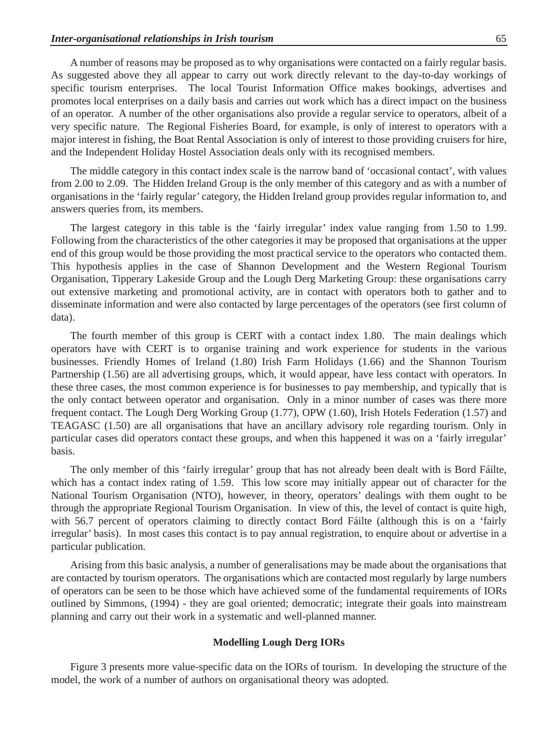A number of reasons may be proposed as to why organisations were contacted on a fairly regular basis. As suggested above they all appear to carry out work directly relevant to the day-to-day workings of specific tourism enterprises. The local Tourist Information Office makes bookings, advertises and promotes local enterprises on a daily basis and carries out work which has a direct impact on the business of an operator. A number of the other organisations also provide a regular service to operators, albeit of a very specific nature. The Regional Fisheries Board, for example, is only of interest to operators with a major interest in fishing, the Boat Rental Association is only of interest to those providing cruisers for hire, and the Independent Holiday Hostel Association deals only with its recognised members.

The middle category in this contact index scale is the narrow band of 'occasional contact', with values from 2.00 to 2.09. The Hidden Ireland Group is the only member of this category and as with a number of organisations in the 'fairly regular' category, the Hidden Ireland group provides regular information to, and answers queries from, its members.

The largest category in this table is the 'fairly irregular' index value ranging from 1.50 to 1.99. Following from the characteristics of the other categories it may be proposed that organisations at the upper end of this group would be those providing the most practical service to the operators who contacted them. This hypothesis applies in the case of Shannon Development and the Western Regional Tourism Organisation, Tipperary Lakeside Group and the Lough Derg Marketing Group: these organisations carry out extensive marketing and promotional activity, are in contact with operators both to gather and to disseminate information and were also contacted by large percentages of the operators (see first column of data).

The fourth member of this group is CERT with a contact index 1.80. The main dealings which operators have with CERT is to organise training and work experience for students in the various businesses. Friendly Homes of Ireland (1.80) Irish Farm Holidays (1.66) and the Shannon Tourism Partnership (1.56) are all advertising groups, which, it would appear, have less contact with operators. In these three cases, the most common experience is for businesses to pay membership, and typically that is the only contact between operator and organisation. Only in a minor number of cases was there more frequent contact. The Lough Derg Working Group (1.77), OPW (1.60), Irish Hotels Federation (1.57) and TEAGASC (1.50) are all organisations that have an ancillary advisory role regarding tourism. Only in particular cases did operators contact these groups, and when this happened it was on a 'fairly irregular' basis.

The only member of this 'fairly irregular' group that has not already been dealt with is Bord Fáilte, which has a contact index rating of 1.59. This low score may initially appear out of character for the National Tourism Organisation (NTO), however, in theory, operators' dealings with them ought to be through the appropriate Regional Tourism Organisation. In view of this, the level of contact is quite high, with 56.7 percent of operators claiming to directly contact Bord Fáilte (although this is on a 'fairly irregular' basis). In most cases this contact is to pay annual registration, to enquire about or advertise in a particular publication.

Arising from this basic analysis, a number of generalisations may be made about the organisations that are contacted by tourism operators. The organisations which are contacted most regularly by large numbers of operators can be seen to be those which have achieved some of the fundamental requirements of IORs outlined by Simmons, (1994) - they are goal oriented; democratic; integrate their goals into mainstream planning and carry out their work in a systematic and well-planned manner.

#### **Modelling Lough Derg IORs**

Figure 3 presents more value-specific data on the IORs of tourism. In developing the structure of the model, the work of a number of authors on organisational theory was adopted.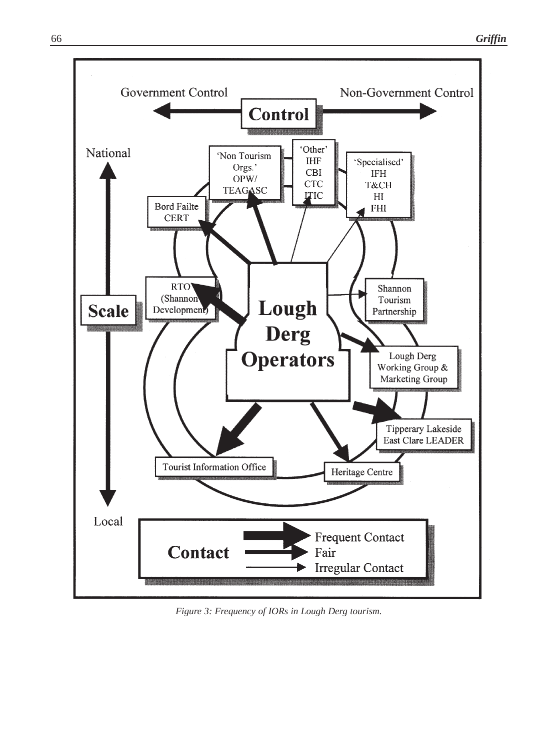

*Figure 3: Frequency of IORs in Lough Derg tourism.*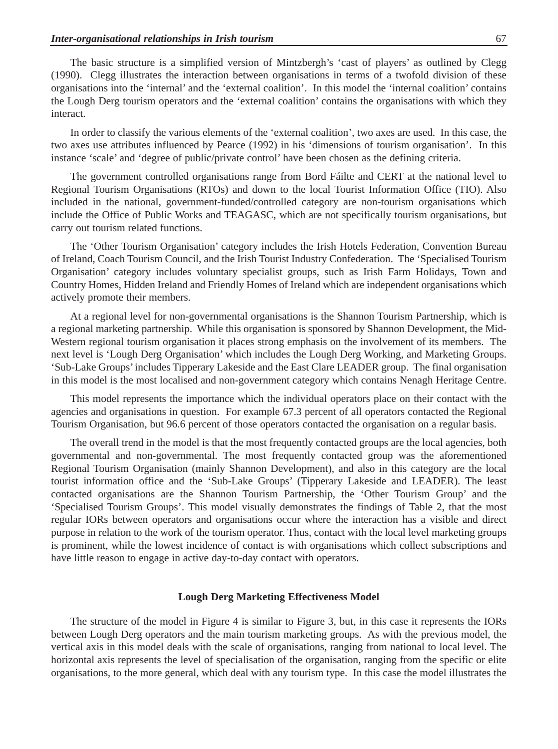The basic structure is a simplified version of Mintzbergh's 'cast of players' as outlined by Clegg (1990). Clegg illustrates the interaction between organisations in terms of a twofold division of these organisations into the 'internal' and the 'external coalition'. In this model the 'internal coalition' contains the Lough Derg tourism operators and the 'external coalition' contains the organisations with which they interact.

In order to classify the various elements of the 'external coalition', two axes are used. In this case, the two axes use attributes influenced by Pearce (1992) in his 'dimensions of tourism organisation'. In this instance 'scale' and 'degree of public/private control' have been chosen as the defining criteria.

The government controlled organisations range from Bord Fáilte and CERT at the national level to Regional Tourism Organisations (RTOs) and down to the local Tourist Information Office (TIO). Also included in the national, government-funded/controlled category are non-tourism organisations which include the Office of Public Works and TEAGASC, which are not specifically tourism organisations, but carry out tourism related functions.

The 'Other Tourism Organisation' category includes the Irish Hotels Federation, Convention Bureau of Ireland, Coach Tourism Council, and the Irish Tourist Industry Confederation. The 'Specialised Tourism Organisation' category includes voluntary specialist groups, such as Irish Farm Holidays, Town and Country Homes, Hidden Ireland and Friendly Homes of Ireland which are independent organisations which actively promote their members.

At a regional level for non-governmental organisations is the Shannon Tourism Partnership, which is a regional marketing partnership. While this organisation is sponsored by Shannon Development, the Mid-Western regional tourism organisation it places strong emphasis on the involvement of its members. The next level is 'Lough Derg Organisation' which includes the Lough Derg Working, and Marketing Groups. 'Sub-Lake Groups' includes Tipperary Lakeside and the East Clare LEADER group. The final organisation in this model is the most localised and non-government category which contains Nenagh Heritage Centre.

This model represents the importance which the individual operators place on their contact with the agencies and organisations in question. For example 67.3 percent of all operators contacted the Regional Tourism Organisation, but 96.6 percent of those operators contacted the organisation on a regular basis.

The overall trend in the model is that the most frequently contacted groups are the local agencies, both governmental and non-governmental. The most frequently contacted group was the aforementioned Regional Tourism Organisation (mainly Shannon Development), and also in this category are the local tourist information office and the 'Sub-Lake Groups' (Tipperary Lakeside and LEADER). The least contacted organisations are the Shannon Tourism Partnership, the 'Other Tourism Group' and the 'Specialised Tourism Groups'. This model visually demonstrates the findings of Table 2, that the most regular IORs between operators and organisations occur where the interaction has a visible and direct purpose in relation to the work of the tourism operator. Thus, contact with the local level marketing groups is prominent, while the lowest incidence of contact is with organisations which collect subscriptions and have little reason to engage in active day-to-day contact with operators.

#### **Lough Derg Marketing Effectiveness Model**

The structure of the model in Figure 4 is similar to Figure 3, but, in this case it represents the IORs between Lough Derg operators and the main tourism marketing groups. As with the previous model, the vertical axis in this model deals with the scale of organisations, ranging from national to local level. The horizontal axis represents the level of specialisation of the organisation, ranging from the specific or elite organisations, to the more general, which deal with any tourism type. In this case the model illustrates the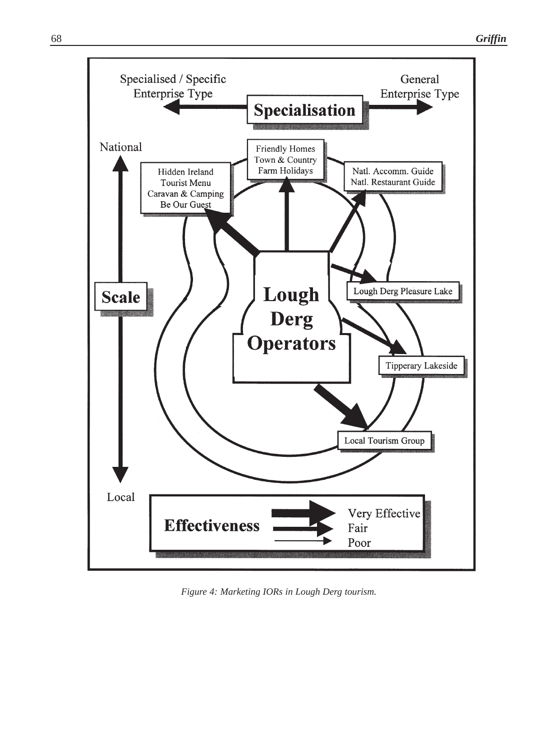

*Figure 4: Marketing IORs in Lough Derg tourism.*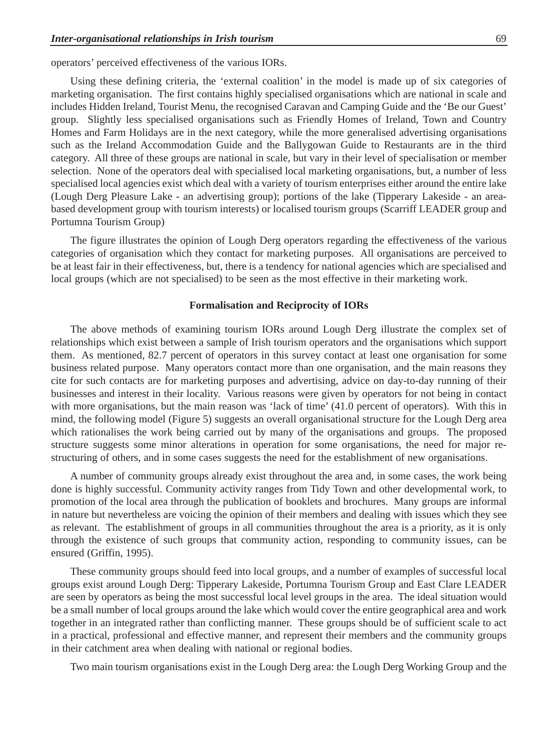operators' perceived effectiveness of the various IORs.

Using these defining criteria, the 'external coalition' in the model is made up of six categories of marketing organisation. The first contains highly specialised organisations which are national in scale and includes Hidden Ireland, Tourist Menu, the recognised Caravan and Camping Guide and the 'Be our Guest' group. Slightly less specialised organisations such as Friendly Homes of Ireland, Town and Country Homes and Farm Holidays are in the next category, while the more generalised advertising organisations such as the Ireland Accommodation Guide and the Ballygowan Guide to Restaurants are in the third category. All three of these groups are national in scale, but vary in their level of specialisation or member selection. None of the operators deal with specialised local marketing organisations, but, a number of less specialised local agencies exist which deal with a variety of tourism enterprises either around the entire lake (Lough Derg Pleasure Lake - an advertising group); portions of the lake (Tipperary Lakeside - an areabased development group with tourism interests) or localised tourism groups (Scarriff LEADER group and Portumna Tourism Group)

The figure illustrates the opinion of Lough Derg operators regarding the effectiveness of the various categories of organisation which they contact for marketing purposes. All organisations are perceived to be at least fair in their effectiveness, but, there is a tendency for national agencies which are specialised and local groups (which are not specialised) to be seen as the most effective in their marketing work.

#### **Formalisation and Reciprocity of IORs**

The above methods of examining tourism IORs around Lough Derg illustrate the complex set of relationships which exist between a sample of Irish tourism operators and the organisations which support them. As mentioned, 82.7 percent of operators in this survey contact at least one organisation for some business related purpose. Many operators contact more than one organisation, and the main reasons they cite for such contacts are for marketing purposes and advertising, advice on day-to-day running of their businesses and interest in their locality. Various reasons were given by operators for not being in contact with more organisations, but the main reason was 'lack of time' (41.0 percent of operators). With this in mind, the following model (Figure 5) suggests an overall organisational structure for the Lough Derg area which rationalises the work being carried out by many of the organisations and groups. The proposed structure suggests some minor alterations in operation for some organisations, the need for major restructuring of others, and in some cases suggests the need for the establishment of new organisations.

A number of community groups already exist throughout the area and, in some cases, the work being done is highly successful. Community activity ranges from Tidy Town and other developmental work, to promotion of the local area through the publication of booklets and brochures. Many groups are informal in nature but nevertheless are voicing the opinion of their members and dealing with issues which they see as relevant. The establishment of groups in all communities throughout the area is a priority, as it is only through the existence of such groups that community action, responding to community issues, can be ensured (Griffin, 1995).

These community groups should feed into local groups, and a number of examples of successful local groups exist around Lough Derg: Tipperary Lakeside, Portumna Tourism Group and East Clare LEADER are seen by operators as being the most successful local level groups in the area. The ideal situation would be a small number of local groups around the lake which would cover the entire geographical area and work together in an integrated rather than conflicting manner. These groups should be of sufficient scale to act in a practical, professional and effective manner, and represent their members and the community groups in their catchment area when dealing with national or regional bodies.

Two main tourism organisations exist in the Lough Derg area: the Lough Derg Working Group and the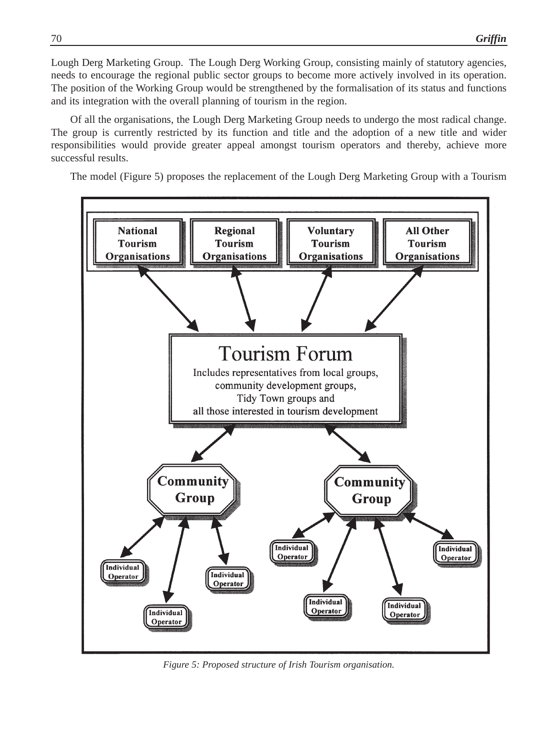Lough Derg Marketing Group. The Lough Derg Working Group, consisting mainly of statutory agencies, needs to encourage the regional public sector groups to become more actively involved in its operation. The position of the Working Group would be strengthened by the formalisation of its status and functions and its integration with the overall planning of tourism in the region.

Of all the organisations, the Lough Derg Marketing Group needs to undergo the most radical change. The group is currently restricted by its function and title and the adoption of a new title and wider responsibilities would provide greater appeal amongst tourism operators and thereby, achieve more successful results.

The model (Figure 5) proposes the replacement of the Lough Derg Marketing Group with a Tourism



*Figure 5: Proposed structure of Irish Tourism organisation.*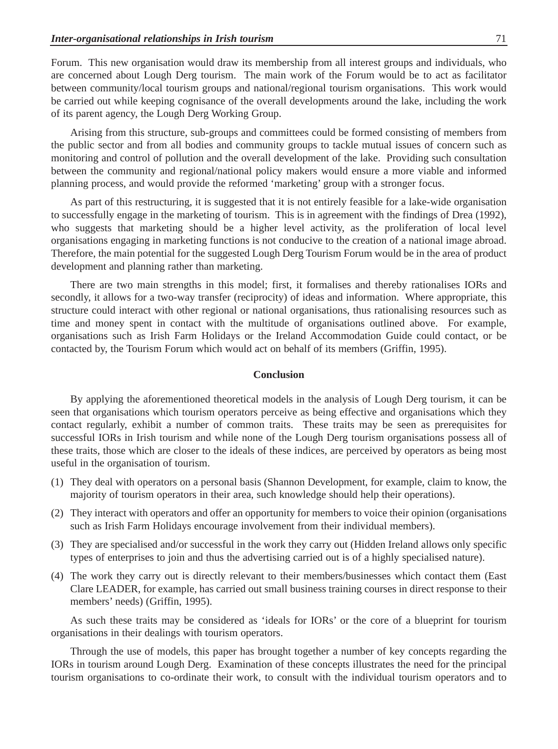Forum. This new organisation would draw its membership from all interest groups and individuals, who are concerned about Lough Derg tourism. The main work of the Forum would be to act as facilitator between community/local tourism groups and national/regional tourism organisations. This work would be carried out while keeping cognisance of the overall developments around the lake, including the work of its parent agency, the Lough Derg Working Group.

Arising from this structure, sub-groups and committees could be formed consisting of members from the public sector and from all bodies and community groups to tackle mutual issues of concern such as monitoring and control of pollution and the overall development of the lake. Providing such consultation between the community and regional/national policy makers would ensure a more viable and informed planning process, and would provide the reformed 'marketing' group with a stronger focus.

As part of this restructuring, it is suggested that it is not entirely feasible for a lake-wide organisation to successfully engage in the marketing of tourism. This is in agreement with the findings of Drea (1992), who suggests that marketing should be a higher level activity, as the proliferation of local level organisations engaging in marketing functions is not conducive to the creation of a national image abroad. Therefore, the main potential for the suggested Lough Derg Tourism Forum would be in the area of product development and planning rather than marketing.

There are two main strengths in this model; first, it formalises and thereby rationalises IORs and secondly, it allows for a two-way transfer (reciprocity) of ideas and information. Where appropriate, this structure could interact with other regional or national organisations, thus rationalising resources such as time and money spent in contact with the multitude of organisations outlined above. For example, organisations such as Irish Farm Holidays or the Ireland Accommodation Guide could contact, or be contacted by, the Tourism Forum which would act on behalf of its members (Griffin, 1995).

#### **Conclusion**

By applying the aforementioned theoretical models in the analysis of Lough Derg tourism, it can be seen that organisations which tourism operators perceive as being effective and organisations which they contact regularly, exhibit a number of common traits. These traits may be seen as prerequisites for successful IORs in Irish tourism and while none of the Lough Derg tourism organisations possess all of these traits, those which are closer to the ideals of these indices, are perceived by operators as being most useful in the organisation of tourism.

- (1) They deal with operators on a personal basis (Shannon Development, for example, claim to know, the majority of tourism operators in their area, such knowledge should help their operations).
- (2) They interact with operators and offer an opportunity for members to voice their opinion (organisations such as Irish Farm Holidays encourage involvement from their individual members).
- (3) They are specialised and/or successful in the work they carry out (Hidden Ireland allows only specific types of enterprises to join and thus the advertising carried out is of a highly specialised nature).
- (4) The work they carry out is directly relevant to their members/businesses which contact them (East Clare LEADER, for example, has carried out small business training courses in direct response to their members' needs) (Griffin, 1995).

As such these traits may be considered as 'ideals for IORs' or the core of a blueprint for tourism organisations in their dealings with tourism operators.

Through the use of models, this paper has brought together a number of key concepts regarding the IORs in tourism around Lough Derg. Examination of these concepts illustrates the need for the principal tourism organisations to co-ordinate their work, to consult with the individual tourism operators and to